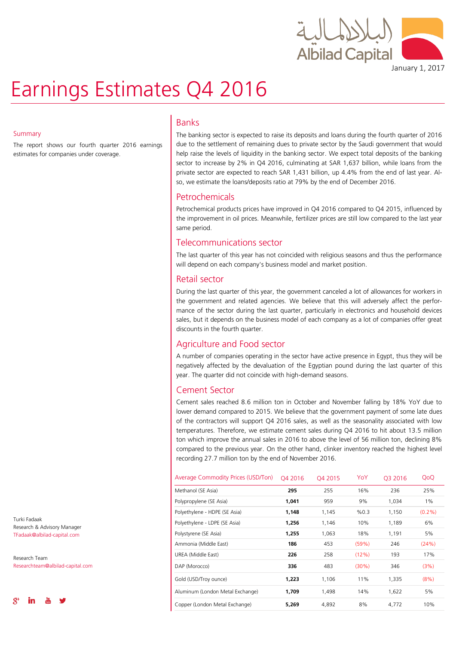

January 1, 2017

# Earnings Estimates Q4 2016

#### **Summary**

The report shows our fourth quarter 2016 earnings estimates for companies under coverage.

## Banks

The banking sector is expected to raise its deposits and loans during the fourth quarter of 2016 due to the settlement of remaining dues to private sector by the Saudi government that would help raise the levels of liquidity in the banking sector. We expect total deposits of the banking sector to increase by 2% in Q4 2016, culminating at SAR 1,637 billion, while loans from the private sector are expected to reach SAR 1,431 billion, up 4.4% from the end of last year. Also, we estimate the loans/deposits ratio at 79% by the end of December 2016.

## Petrochemicals

Petrochemical products prices have improved in Q4 2016 compared to Q4 2015, influenced by the improvement in oil prices. Meanwhile, fertilizer prices are still low compared to the last year same period.

## Telecommunications sector

The last quarter of this year has not coincided with religious seasons and thus the performance will depend on each company's business model and market position.

## Retail sector

During the last quarter of this year, the government canceled a lot of allowances for workers in the government and related agencies. We believe that this will adversely affect the performance of the sector during the last quarter, particularly in electronics and household devices sales, but it depends on the business model of each company as a lot of companies offer great discounts in the fourth quarter.

## Agriculture and Food sector

A number of companies operating in the sector have active presence in Egypt, thus they will be negatively affected by the devaluation of the Egyptian pound during the last quarter of this year. The quarter did not coincide with high-demand seasons.

## Cement Sector

Cement sales reached 8.6 million ton in October and November falling by 18% YoY due to lower demand compared to 2015. We believe that the government payment of some late dues of the contractors will support Q4 2016 sales, as well as the seasonality associated with low temperatures. Therefore, we estimate cement sales during Q4 2016 to hit about 13.5 million ton which improve the annual sales in 2016 to above the level of 56 million ton, declining 8% compared to the previous year. On the other hand, clinker inventory reached the highest level recording 27.7 million ton by the end of November 2016.

| Average Commodity Prices (USD/Ton) | O4 2016 | O <sub>4</sub> 2015 | YoY      | O <sub>3</sub> 2016 | QoQ       |
|------------------------------------|---------|---------------------|----------|---------------------|-----------|
| Methanol (SE Asia)                 | 295     | 255                 | 16%      | 236                 | 25%       |
| Polypropylene (SE Asia)            | 1,041   | 959                 | 9%       | 1,034               | 1%        |
| Polyethylene - HDPE (SE Asia)      | 1,148   | 1,145               | %0.3     | 1,150               | $(0.2\%)$ |
| Polyethylene - LDPE (SE Asia)      | 1,256   | 1,146               | 10%      | 1,189               | 6%        |
| Polystyrene (SE Asia)              | 1,255   | 1,063               | 18%      | 1,191               | 5%        |
| Ammonia (Middle East)              | 186     | 453                 | (59%)    | 246                 | (24%)     |
| UREA (Middle East)                 | 226     | 258                 | (12%)    | 193                 | 17%       |
| DAP (Morocco)                      | 336     | 483                 | $(30\%)$ | 346                 | (3%)      |
| Gold (USD/Troy ounce)              | 1,223   | 1,106               | 11%      | 1,335               | $(8\%)$   |
| Aluminum (London Metal Exchange)   | 1,709   | 1,498               | 14%      | 1,622               | 5%        |
| Copper (London Metal Exchange)     | 5.269   | 4.892               | 8%       | 4.772               | 10%       |

Turki Fadaak Research & Advisory Manager TFadaak@albilad-capital.com

Research Team Researchteam@albilad-capital.com

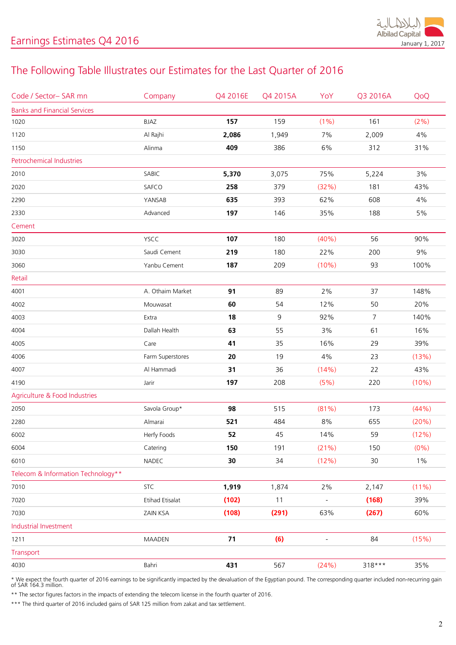

## The Following Table Illustrates our Estimates for the Last Quarter of 2016

| Code / Sector-SAR mn                | Company                | Q4 2016E | Q4 2015A | YoY                      | Q3 2016A       | QoQ      |
|-------------------------------------|------------------------|----------|----------|--------------------------|----------------|----------|
| <b>Banks and Financial Services</b> |                        |          |          |                          |                |          |
| 1020                                | BJAZ                   | 157      | 159      | $(1\%)$                  | 161            | (2%)     |
| 1120                                | Al Rajhi               | 2,086    | 1,949    | 7%                       | 2,009          | 4%       |
| 1150                                | Alinma                 | 409      | 386      | 6%                       | 312            | 31%      |
| Petrochemical Industries            |                        |          |          |                          |                |          |
| 2010                                | SABIC                  | 5,370    | 3,075    | 75%                      | 5,224          | 3%       |
| 2020                                | SAFCO                  | 258      | 379      | (32%)                    | 181            | 43%      |
| 2290                                | YANSAB                 | 635      | 393      | 62%                      | 608            | 4%       |
| 2330                                | Advanced               | 197      | 146      | 35%                      | 188            | $5\%$    |
| Cement                              |                        |          |          |                          |                |          |
| 3020                                | YSCC                   | 107      | 180      | (40%)                    | 56             | 90%      |
| 3030                                | Saudi Cement           | 219      | 180      | 22%                      | 200            | 9%       |
| 3060                                | Yanbu Cement           | 187      | 209      | (10%)                    | 93             | 100%     |
| Retail                              |                        |          |          |                          |                |          |
| 4001                                | A. Othaim Market       | 91       | 89       | 2%                       | 37             | 148%     |
| 4002                                | Mouwasat               | 60       | 54       | 12%                      | 50             | 20%      |
| 4003                                | Extra                  | 18       | 9        | 92%                      | $\overline{7}$ | 140%     |
| 4004                                | Dallah Health          | 63       | 55       | 3%                       | 61             | 16%      |
| 4005                                | Care                   | 41       | 35       | 16%                      | 29             | 39%      |
| 4006                                | Farm Superstores       | 20       | 19       | 4%                       | 23             | (13%)    |
| 4007                                | Al Hammadi             | 31       | 36       | (14%)                    | 22             | 43%      |
| 4190                                | Jarir                  | 197      | 208      | (5%)                     | 220            | (10%)    |
| Agriculture & Food Industries       |                        |          |          |                          |                |          |
| 2050                                | Savola Group*          | 98       | 515      | (81%)                    | 173            | (44%)    |
| 2280                                | Almarai                | 521      | 484      | $8\%$                    | 655            | (20%)    |
| 6002                                | Herfy Foods            | 52       | 45       | 14%                      | 59             | (12%)    |
| 6004                                | Catering               | 150      | 191      | (21%)                    | 150            | $(0\%)$  |
| 6010                                | NADEC                  | 30       | 34       | (12%)                    | $30$           | $1\%$    |
| Telecom & Information Technology**  |                        |          |          |                          |                |          |
| 7010                                | <b>STC</b>             | 1,919    | 1,874    | 2%                       | 2,147          | $(11\%)$ |
| 7020                                | <b>Etihad Etisalat</b> | (102)    | 11       | $\qquad \qquad -$        | (168)          | 39%      |
| 7030                                | ZAIN KSA               | (108)    | (291)    | 63%                      | (267)          | 60%      |
| Industrial Investment               |                        |          |          |                          |                |          |
| 1211                                | <b>MAADEN</b>          | 71       | (6)      | $\overline{\phantom{a}}$ | 84             | (15%)    |
| Transport                           |                        |          |          |                          |                |          |
| 4030                                | Bahri                  | 431      | 567      | (24%)                    | 318***         | 35%      |
|                                     |                        |          |          |                          |                |          |

\* We expect the fourth quarter of 2016 earnings to be significantly impacted by the devaluation of the Egyptian pound. The corresponding quarter included non-recurring gain of SAR 164.3 million.

\*\* The sector figures factors in the impacts of extending the telecom license in the fourth quarter of 2016.

\*\*\* The third quarter of 2016 included gains of SAR 125 million from zakat and tax settlement.